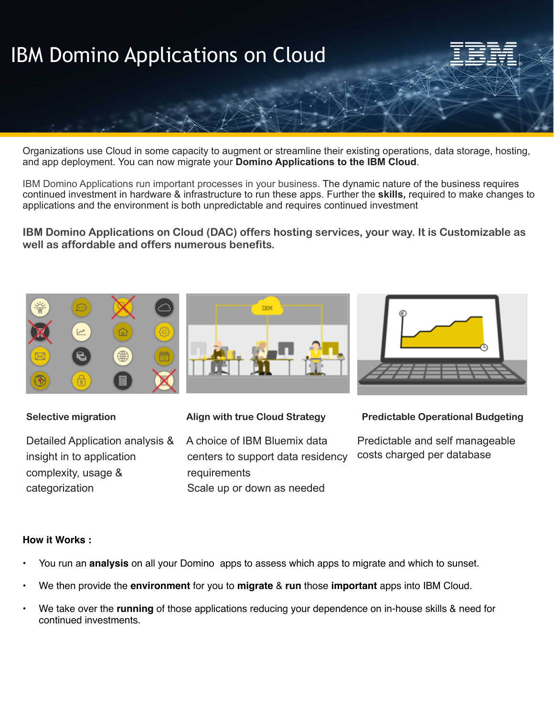

Organizations use Cloud in some capacity to augment or streamline their existing operations, data storage, hosting, and app deployment. You can now migrate your **Domino Applications to the IBM Cloud**.

IBM Domino Applications run important processes in your business. The dynamic nature of the business requires continued investment in hardware & infrastructure to run these apps. Further the **skills,** required to make changes to applications and the environment is both unpredictable and requires continued investment

**IBM Domino Applications on Cloud (DAC) offers hosting services, your way. It is Customizable as well as affordable and offers numerous benefits.**



Detailed Application analysis & insight in to application complexity, usage & categorization

A choice of IBM Bluemix data centers to support data residency requirements Scale up or down as needed



Predictable and self manageable costs charged per database

## **How it Works :**

- You run an **analysis** on all your Domino apps to assess which apps to migrate and which to sunset.
- We then provide the **environment** for you to **migrate** & **run** those **important** apps into IBM Cloud.
- We take over the **running** of those applications reducing your dependence on in-house skills & need for continued investments.